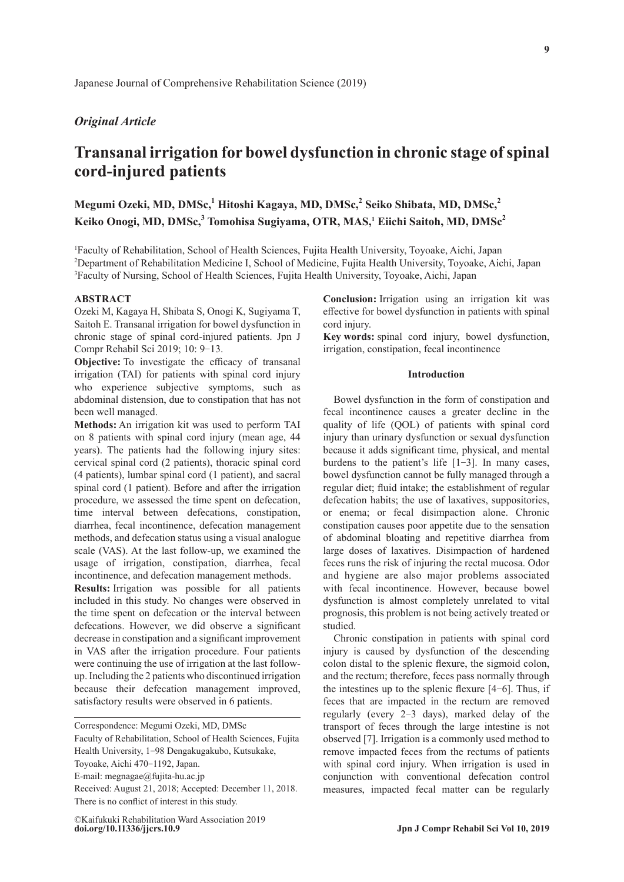# *Original Article*

# **Transanal irrigation for bowel dysfunction in chronic stage of spinal cord-injured patients**

 $M$ egumi Ozeki, MD, DMSc, $^1$  Hitoshi Kagaya, MD, DMSc, $^2$  Seiko Shibata, MD, DMSc, $^2$ Keiko Onogi, MD, DMSc,<sup>3</sup> Tomohisa Sugiyama, OTR, MAS,<sup>1</sup> Eiichi Saitoh, MD, DMSc<sup>2</sup>

1 Faculty of Rehabilitation, School of Health Sciences, Fujita Health University, Toyoake, Aichi, Japan 2 Department of Rehabilitation Medicine I, School of Medicine, Fujita Health University, Toyoake, Aichi, Japan <sup>3</sup>Faculty of Nursing, School of Health Sciences, Fujita Health University, Toyoake, Aichi, Japan

#### **ABSTRACT**

Ozeki M, Kagaya H, Shibata S, Onogi K, Sugiyama T, Saitoh E. Transanal irrigation for bowel dysfunction in chronic stage of spinal cord-injured patients. Jpn J Compr Rehabil Sci 2019; 10: 9-13.

**Objective:** To investigate the efficacy of transanal irrigation (TAI) for patients with spinal cord injury who experience subjective symptoms, such as abdominal distension, due to constipation that has not been well managed.

**Methods:** An irrigation kit was used to perform TAI on 8 patients with spinal cord injury (mean age, 44 years). The patients had the following injury sites: cervical spinal cord (2 patients), thoracic spinal cord (4 patients), lumbar spinal cord (1 patient), and sacral spinal cord (1 patient). Before and after the irrigation procedure, we assessed the time spent on defecation, time interval between defecations, constipation, diarrhea, fecal incontinence, defecation management methods, and defecation status using a visual analogue scale (VAS). At the last follow-up, we examined the usage of irrigation, constipation, diarrhea, fecal incontinence, and defecation management methods.

**Results:** Irrigation was possible for all patients included in this study. No changes were observed in the time spent on defecation or the interval between defecations. However, we did observe a significant decrease in constipation and a significant improvement in VAS after the irrigation procedure. Four patients were continuing the use of irrigation at the last followup. Including the 2 patients who discontinued irrigation because their defecation management improved, satisfactory results were observed in 6 patients.

**Conclusion:** Irrigation using an irrigation kit was effective for bowel dysfunction in patients with spinal cord injury.

**Key words:** spinal cord injury, bowel dysfunction, irrigation, constipation, fecal incontinence

# **Introduction**

Bowel dysfunction in the form of constipation and fecal incontinence causes a greater decline in the quality of life (QOL) of patients with spinal cord injury than urinary dysfunction or sexual dysfunction because it adds significant time, physical, and mental burdens to the patient's life [1-3]. In many cases, bowel dysfunction cannot be fully managed through a regular diet; fluid intake; the establishment of regular defecation habits; the use of laxatives, suppositories, or enema; or fecal disimpaction alone. Chronic constipation causes poor appetite due to the sensation of abdominal bloating and repetitive diarrhea from large doses of laxatives. Disimpaction of hardened feces runs the risk of injuring the rectal mucosa. Odor and hygiene are also major problems associated with fecal incontinence. However, because bowel dysfunction is almost completely unrelated to vital prognosis, this problem is not being actively treated or studied.

Chronic constipation in patients with spinal cord injury is caused by dysfunction of the descending colon distal to the splenic flexure, the sigmoid colon, and the rectum; therefore, feces pass normally through the intestines up to the splenic flexure [4-6]. Thus, if feces that are impacted in the rectum are removed regularly (every 2-3 days), marked delay of the transport of feces through the large intestine is not observed [7]. Irrigation is a commonly used method to remove impacted feces from the rectums of patients with spinal cord injury. When irrigation is used in conjunction with conventional defecation control measures, impacted fecal matter can be regularly

Correspondence: Megumi Ozeki, MD, DMSc

Faculty of Rehabilitation, School of Health Sciences, Fujita Health University, 1-98 Dengakugakubo, Kutsukake,

Toyoake, Aichi 470-1192, Japan.

E-mail: megnagae@fujita-hu.ac.jp

Received: August 21, 2018; Accepted: December 11, 2018. There is no conflict of interest in this study.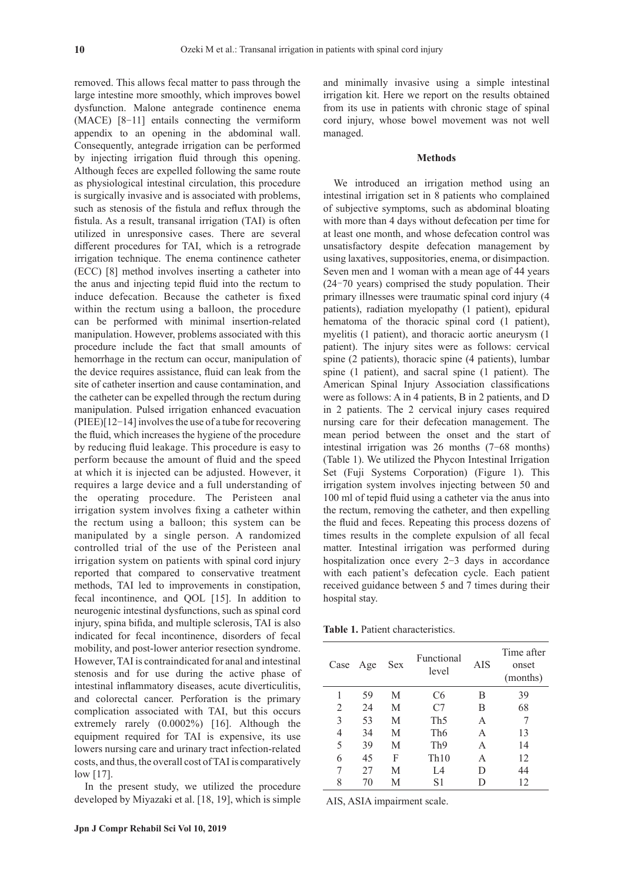removed. This allows fecal matter to pass through the large intestine more smoothly, which improves bowel dysfunction. Malone antegrade continence enema (MACE) [8-11] entails connecting the vermiform appendix to an opening in the abdominal wall. Consequently, antegrade irrigation can be performed by injecting irrigation fluid through this opening. Although feces are expelled following the same route as physiological intestinal circulation, this procedure is surgically invasive and is associated with problems, such as stenosis of the fistula and reflux through the fistula. As a result, transanal irrigation (TAI) is often utilized in unresponsive cases. There are several different procedures for TAI, which is a retrograde irrigation technique. The enema continence catheter (ECC) [8] method involves inserting a catheter into the anus and injecting tepid fluid into the rectum to induce defecation. Because the catheter is fixed within the rectum using a balloon, the procedure can be performed with minimal insertion-related manipulation. However, problems associated with this procedure include the fact that small amounts of hemorrhage in the rectum can occur, manipulation of the device requires assistance, fluid can leak from the site of catheter insertion and cause contamination, and the catheter can be expelled through the rectum during manipulation. Pulsed irrigation enhanced evacuation (PIEE)[12-14] involves the use of a tube for recovering the fluid, which increases the hygiene of the procedure by reducing fluid leakage. This procedure is easy to perform because the amount of fluid and the speed at which it is injected can be adjusted. However, it requires a large device and a full understanding of the operating procedure. The Peristeen anal irrigation system involves fixing a catheter within the rectum using a balloon; this system can be manipulated by a single person. A randomized controlled trial of the use of the Peristeen anal irrigation system on patients with spinal cord injury reported that compared to conservative treatment methods, TAI led to improvements in constipation, fecal incontinence, and QOL [15]. In addition to neurogenic intestinal dysfunctions, such as spinal cord injury, spina bifida, and multiple sclerosis, TAI is also indicated for fecal incontinence, disorders of fecal mobility, and post-lower anterior resection syndrome. However, TAI is contraindicated for anal and intestinal stenosis and for use during the active phase of intestinal inflammatory diseases, acute diverticulitis, and colorectal cancer. Perforation is the primary complication associated with TAI, but this occurs extremely rarely (0.0002%) [16]. Although the equipment required for TAI is expensive, its use lowers nursing care and urinary tract infection-related costs, and thus, the overall cost of TAI is comparatively low [17].

In the present study, we utilized the procedure developed by Miyazaki et al. [18, 19], which is simple and minimally invasive using a simple intestinal irrigation kit. Here we report on the results obtained from its use in patients with chronic stage of spinal cord injury, whose bowel movement was not well managed.

### **Methods**

We introduced an irrigation method using an intestinal irrigation set in 8 patients who complained of subjective symptoms, such as abdominal bloating with more than 4 days without defecation per time for at least one month, and whose defecation control was unsatisfactory despite defecation management by using laxatives, suppositories, enema, or disimpaction. Seven men and 1 woman with a mean age of 44 years (24–70 years) comprised the study population. Their primary illnesses were traumatic spinal cord injury (4 patients), radiation myelopathy (1 patient), epidural hematoma of the thoracic spinal cord (1 patient), myelitis (1 patient), and thoracic aortic aneurysm (1 patient). The injury sites were as follows: cervical spine (2 patients), thoracic spine (4 patients), lumbar spine (1 patient), and sacral spine (1 patient). The American Spinal Injury Association classifications were as follows: A in 4 patients, B in 2 patients, and D in 2 patients. The 2 cervical injury cases required nursing care for their defecation management. The mean period between the onset and the start of intestinal irrigation was 26 months (7-68 months) (Table 1). We utilized the Phycon Intestinal Irrigation Set (Fuji Systems Corporation) (Figure 1). This irrigation system involves injecting between 50 and 100 ml of tepid fluid using a catheter via the anus into the rectum, removing the catheter, and then expelling the fluid and feces. Repeating this process dozens of times results in the complete expulsion of all fecal matter. Intestinal irrigation was performed during hospitalization once every 2-3 days in accordance with each patient's defecation cycle. Each patient received guidance between 5 and 7 times during their hospital stay.

**Table 1.** Patient characteristics.

| Case | Age | Sex | Functional<br>level | AIS | Time after<br>onset<br>(months) |
|------|-----|-----|---------------------|-----|---------------------------------|
|      | 59  | M   | C <sub>6</sub>      | B   | 39                              |
| 2    | 24  | М   | C7                  | В   | 68                              |
| 3    | 53  | М   | Th <sub>5</sub>     | A   |                                 |
| 4    | 34  | М   | Th6                 | A   | 13                              |
| 5    | 39  | М   | Th <sub>9</sub>     | A   | 14                              |
| 6    | 45  | F   | Th10                | A   | 12                              |
|      | 27  | М   | L4                  | D   | 44                              |
| 8    | 70  | М   | S1                  |     | 12                              |

AIS, ASIA impairment scale.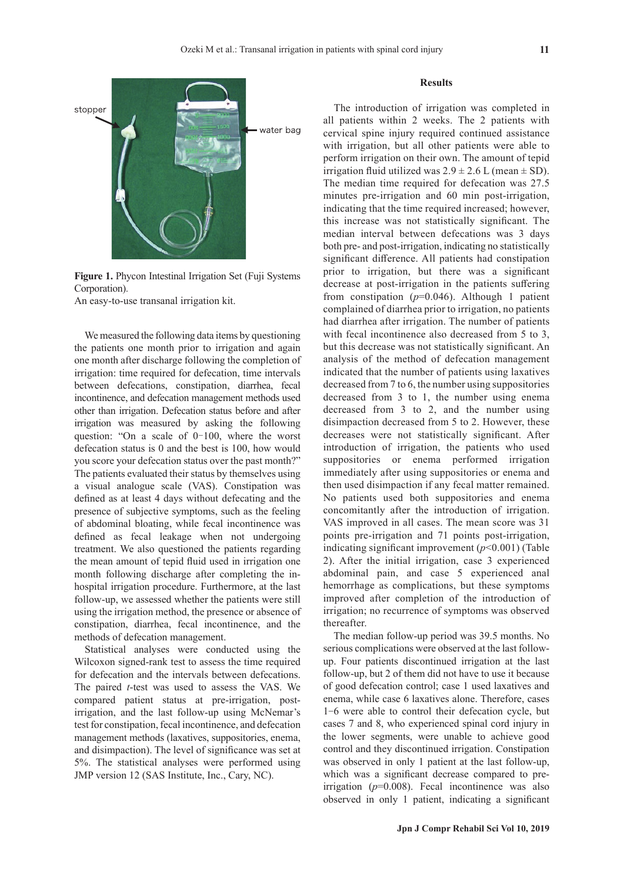

**Figure 1.** Phycon Intestinal Irrigation Set (Fuji Systems Corporation).

An easy-to-use transanal irrigation kit.

We measured the following data items by questioning the patients one month prior to irrigation and again one month after discharge following the completion of irrigation: time required for defecation, time intervals between defecations, constipation, diarrhea, fecal incontinence, and defecation management methods used other than irrigation. Defecation status before and after irrigation was measured by asking the following question: "On a scale of 0–100, where the worst defecation status is 0 and the best is 100, how would you score your defecation status over the past month?" The patients evaluated their status by themselves using a visual analogue scale (VAS). Constipation was defined as at least 4 days without defecating and the presence of subjective symptoms, such as the feeling of abdominal bloating, while fecal incontinence was defined as fecal leakage when not undergoing treatment. We also questioned the patients regarding the mean amount of tepid fluid used in irrigation one month following discharge after completing the inhospital irrigation procedure. Furthermore, at the last follow-up, we assessed whether the patients were still using the irrigation method, the presence or absence of constipation, diarrhea, fecal incontinence, and the methods of defecation management.

Statistical analyses were conducted using the Wilcoxon signed-rank test to assess the time required for defecation and the intervals between defecations. The paired *t*-test was used to assess the VAS. We compared patient status at pre-irrigation, postirrigation, and the last follow-up using McNemar's test for constipation, fecal incontinence, and defecation management methods (laxatives, suppositories, enema, and disimpaction). The level of significance was set at 5%. The statistical analyses were performed using JMP version 12 (SAS Institute, Inc., Cary, NC).

#### **Results**

The introduction of irrigation was completed in all patients within 2 weeks. The 2 patients with cervical spine injury required continued assistance with irrigation, but all other patients were able to perform irrigation on their own. The amount of tepid irrigation fluid utilized was  $2.9 \pm 2.6$  L (mean  $\pm$  SD). The median time required for defecation was 27.5 minutes pre-irrigation and 60 min post-irrigation, indicating that the time required increased; however, this increase was not statistically significant. The median interval between defecations was 3 days both pre- and post-irrigation, indicating no statistically significant difference. All patients had constipation prior to irrigation, but there was a significant decrease at post-irrigation in the patients suffering from constipation (*p*=0.046). Although 1 patient complained of diarrhea prior to irrigation, no patients had diarrhea after irrigation. The number of patients with fecal incontinence also decreased from 5 to 3, but this decrease was not statistically significant. An analysis of the method of defecation management indicated that the number of patients using laxatives decreased from 7 to 6, the number using suppositories decreased from 3 to 1, the number using enema decreased from 3 to 2, and the number using disimpaction decreased from 5 to 2. However, these decreases were not statistically significant. After introduction of irrigation, the patients who used suppositories or enema performed irrigation immediately after using suppositories or enema and then used disimpaction if any fecal matter remained. No patients used both suppositories and enema concomitantly after the introduction of irrigation. VAS improved in all cases. The mean score was 31 points pre-irrigation and 71 points post-irrigation, indicating significant improvement (*p*<0.001) (Table 2). After the initial irrigation, case 3 experienced abdominal pain, and case 5 experienced anal hemorrhage as complications, but these symptoms improved after completion of the introduction of irrigation; no recurrence of symptoms was observed thereafter.

The median follow-up period was 39.5 months. No serious complications were observed at the last followup. Four patients discontinued irrigation at the last follow-up, but 2 of them did not have to use it because of good defecation control; case 1 used laxatives and enema, while case 6 laxatives alone. Therefore, cases 1-6 were able to control their defecation cycle, but cases 7 and 8, who experienced spinal cord injury in the lower segments, were unable to achieve good control and they discontinued irrigation. Constipation was observed in only 1 patient at the last follow-up, which was a significant decrease compared to preirrigation  $(p=0.008)$ . Fecal incontinence was also observed in only 1 patient, indicating a significant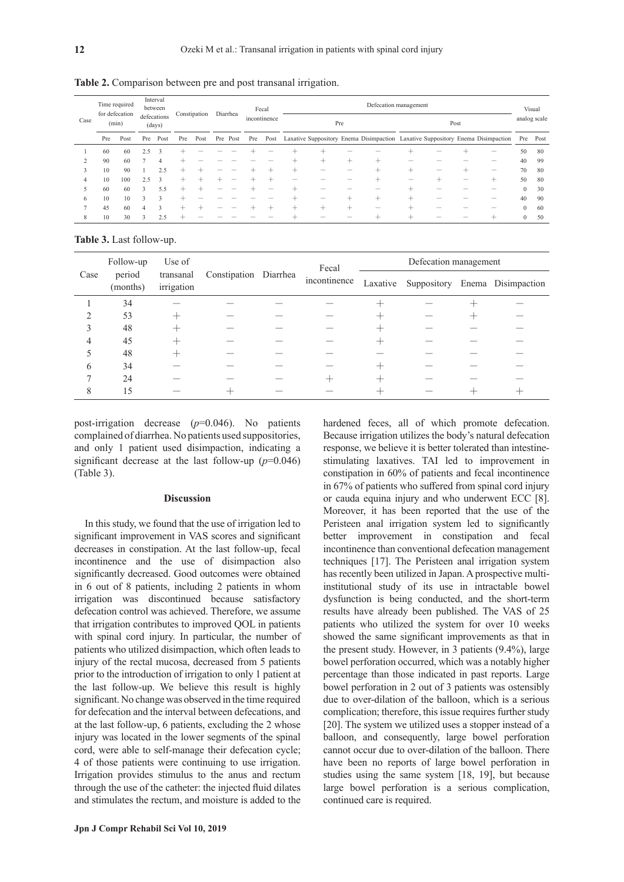| Case          | Time required<br>for defecation<br>(min) |      | Interval<br>between<br>defecations<br>(days) |              | Constipation             |      | Fecal<br>Diarrhea<br>incontinence |          | Defecation management<br>Pre<br>Post |      |                          |                          |                          |                                                                                 |                          | Visual<br>analog scale |                  |                   |              |      |
|---------------|------------------------------------------|------|----------------------------------------------|--------------|--------------------------|------|-----------------------------------|----------|--------------------------------------|------|--------------------------|--------------------------|--------------------------|---------------------------------------------------------------------------------|--------------------------|------------------------|------------------|-------------------|--------------|------|
|               | Pre                                      | Post | Pre                                          | Post         | Pre                      | Post |                                   | Pre Post | Pre                                  | Post |                          |                          |                          | Laxative Suppository Enema Disimpaction Laxative Suppository Enema Disimpaction |                          |                        |                  |                   | Pre          | Post |
|               | 60                                       | 60   | 2.5                                          | 3            |                          |      |                                   |          |                                      |      |                          |                          |                          |                                                                                 |                          | -                      |                  | $\hspace{0.5cm}$  | 50           | 80   |
|               | 90                                       | 60   |                                              | 4            |                          |      |                                   |          |                                      |      |                          | $^+$                     | $\pm$                    | $\hspace{0.1mm} +\hspace{0.1mm}$                                                |                          |                        |                  |                   | 40           | 99   |
| $\rightarrow$ | 10                                       | 90   |                                              | 2.5          | $\overline{\phantom{0}}$ |      |                                   |          |                                      |      | $\pm$                    | -                        | $\overline{\phantom{a}}$ | $\overline{\phantom{0}}$                                                        | ÷                        | -                      | $\pm$            | $\hspace{0.05cm}$ | 70           | 80   |
| 4             | 10                                       | 100  | 2.5                                          | $\mathbf{3}$ | +                        |      |                                   |          |                                      |      |                          |                          |                          |                                                                                 | $\overline{\phantom{a}}$ | $\pm$                  | $\hspace{0.5cm}$ | $\pm$             | 50           | 80   |
|               | 60                                       | 60   | 3                                            | 5.5          | +                        |      |                                   |          |                                      |      |                          | -                        |                          |                                                                                 |                          |                        |                  | $\hspace{0.05cm}$ | $\mathbf{0}$ | 30   |
| 6             | 10                                       | 10   | $\mathbf{a}$                                 | 3            |                          |      |                                   |          |                                      |      |                          | $\overline{\phantom{a}}$ | $\overline{\phantom{0}}$ | $\overline{\phantom{0}}$                                                        | $\overline{\phantom{0}}$ | -                      |                  | $\sim$            | 40           | 90   |
|               | 45                                       | 60   | 4                                            | 3            | $\overline{\phantom{0}}$ |      |                                   |          |                                      |      | $\overline{\phantom{0}}$ | $^+$                     | $^+$                     | $\overline{\phantom{a}}$                                                        | -                        |                        |                  |                   | $\Omega$     | 60   |
| 8             | 10                                       | 30   | $\mathbf{3}$                                 | 2.5          |                          |      |                                   |          |                                      |      |                          |                          |                          |                                                                                 |                          |                        |                  | +                 | $\Omega$     | 50   |

**Table 2.** Comparison between pre and post transanal irrigation.

**Table 3.** Last follow-up.

|      | Follow-up          | Use of<br>irrigation | transanal Constipation Diarrhea |  | Fecal        | Defecation management |  |  |                                         |  |  |
|------|--------------------|----------------------|---------------------------------|--|--------------|-----------------------|--|--|-----------------------------------------|--|--|
| Case | period<br>(months) |                      |                                 |  | incontinence |                       |  |  | Laxative Suppository Enema Disimpaction |  |  |
|      | 34                 |                      |                                 |  |              |                       |  |  |                                         |  |  |
|      | 53                 |                      |                                 |  |              |                       |  |  |                                         |  |  |
|      | 48                 |                      |                                 |  |              |                       |  |  |                                         |  |  |
| 4    | 45                 |                      |                                 |  |              |                       |  |  |                                         |  |  |
|      | 48                 |                      |                                 |  |              |                       |  |  |                                         |  |  |
| 6    | 34                 |                      |                                 |  |              |                       |  |  |                                         |  |  |
|      | 24                 |                      |                                 |  |              |                       |  |  |                                         |  |  |
| 8    | 15                 |                      |                                 |  |              |                       |  |  |                                         |  |  |

post-irrigation decrease (*p*=0.046). No patients complained of diarrhea. No patients used suppositories, and only 1 patient used disimpaction, indicating a significant decrease at the last follow-up (*p*=0.046) (Table 3).

## **Discussion**

In this study, we found that the use of irrigation led to significant improvement in VAS scores and significant decreases in constipation. At the last follow-up, fecal incontinence and the use of disimpaction also significantly decreased. Good outcomes were obtained in 6 out of 8 patients, including 2 patients in whom irrigation was discontinued because satisfactory defecation control was achieved. Therefore, we assume that irrigation contributes to improved QOL in patients with spinal cord injury. In particular, the number of patients who utilized disimpaction, which often leads to injury of the rectal mucosa, decreased from 5 patients prior to the introduction of irrigation to only 1 patient at the last follow-up. We believe this result is highly significant. No change was observed in the time required for defecation and the interval between defecations, and at the last follow-up, 6 patients, excluding the 2 whose injury was located in the lower segments of the spinal cord, were able to self-manage their defecation cycle; 4 of those patients were continuing to use irrigation. Irrigation provides stimulus to the anus and rectum through the use of the catheter: the injected fluid dilates and stimulates the rectum, and moisture is added to the

hardened feces, all of which promote defecation. Because irrigation utilizes the body's natural defecation response, we believe it is better tolerated than intestinestimulating laxatives. TAI led to improvement in constipation in 60% of patients and fecal incontinence in 67% of patients who suffered from spinal cord injury or cauda equina injury and who underwent ECC [8]. Moreover, it has been reported that the use of the Peristeen anal irrigation system led to significantly better improvement in constipation and fecal incontinence than conventional defecation management techniques [17]. The Peristeen anal irrigation system has recently been utilized in Japan. A prospective multiinstitutional study of its use in intractable bowel dysfunction is being conducted, and the short-term results have already been published. The VAS of 25 patients who utilized the system for over 10 weeks showed the same significant improvements as that in the present study. However, in 3 patients (9.4%), large bowel perforation occurred, which was a notably higher percentage than those indicated in past reports. Large bowel perforation in 2 out of 3 patients was ostensibly due to over-dilation of the balloon, which is a serious complication; therefore, this issue requires further study [20]. The system we utilized uses a stopper instead of a balloon, and consequently, large bowel perforation cannot occur due to over-dilation of the balloon. There have been no reports of large bowel perforation in studies using the same system [18, 19], but because large bowel perforation is a serious complication, continued care is required.